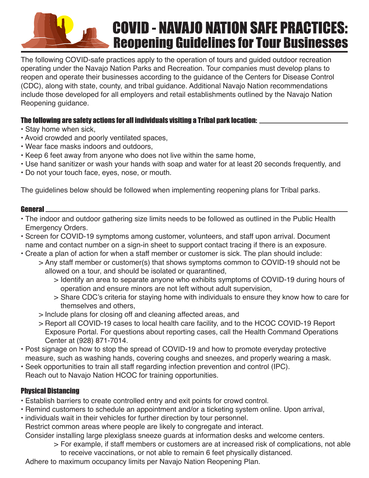# **COVID - NAVAJO NATION SAFE PRACTICES: Reopening Guidelines for Tour Businesses**

The following COVID-safe practices apply to the operation of tours and guided outdoor recreation operating under the Navajo Nation Parks and Recreation. Tour companies must develop plans to reopen and operate their businesses according to the guidance of the Centers for Disease Control (CDC), along with state, county, and tribal guidance. Additional Navajo Nation recommendations include those developed for all employers and retail establishments outlined by the Navajo Nation Reopening guidance.

# The following are safety actions for all individuals visiting a Tribal park location:

- Stay home when sick,
- Avoid crowded and poorly ventilated spaces,
- Wear face masks indoors and outdoors,
- Keep 6 feet away from anyone who does not live within the same home,
- Use hand sanitizer or wash your hands with soap and water for at least 20 seconds frequently, and
- Do not your touch face, eyes, nose, or mouth.

The guidelines below should be followed when implementing reopening plans for Tribal parks.

#### General

- The indoor and outdoor gathering size limits needs to be followed as outlined in the Public Health Emergency Orders.
- Screen for COVID-19 symptoms among customer, volunteers, and staff upon arrival. Document name and contact number on a sign-in sheet to support contact tracing if there is an exposure.
- Create a plan of action for when a staff member or customer is sick. The plan should include:
	- > Any staff member or customer(s) that shows symptoms common to COVID-19 should not be allowed on a tour, and should be isolated or quarantined,
		- > Identify an area to separate anyone who exhibits symptoms of COVID-19 during hours of operation and ensure minors are not left without adult supervision,
		- > Share CDC's criteria for staying home with individuals to ensure they know how to care for themselves and others,
	- > Include plans for closing off and cleaning affected areas, and
	- > Report all COVID-19 cases to local health care facility, and to the HCOC COVID-19 Report Exposure Portal. For questions about reporting cases, call the Health Command Operations Center at (928) 871-7014.
- Post signage on how to stop the spread of COVID-19 and how to promote everyday protective measure, such as washing hands, covering coughs and sneezes, and properly wearing a mask.
- Seek opportunities to train all staff regarding infection prevention and control (IPC). Reach out to Navajo Nation HCOC for training opportunities.

# Physical Distancing

- Establish barriers to create controlled entry and exit points for crowd control. •
- Remind customers to schedule an appointment and/or a ticketing system online. Upon arrival,
- individuals wait in their vehicles for further direction by tour personnel. Restrict common areas where people are likely to congregate and interact. Consider installing large plexiglass sneeze guards at information desks and welcome centers.
	- For example, if staff members or customers are at increased risk of complications, not able > to receive vaccinations, or not able to remain 6 feet physically distanced.

Adhere to maximum occupancy limits per Navajo Nation Reopening Plan.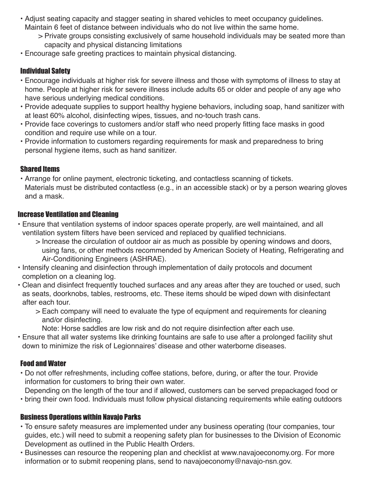- Adjust seating capacity and stagger seating in shared vehicles to meet occupancy guidelines. Maintain 6 feet of distance between individuals who do not live within the same home.
	- Private groups consisting exclusively of same household individuals may be seated more than > capacity and physical distancing limitations
- Encourage safe greeting practices to maintain physical distancing. •

#### Individual Safety

- Encourage individuals at higher risk for severe illness and those with symptoms of illness to stay at home. People at higher risk for severe illness include adults 65 or older and people of any age who have serious underlying medical conditions.
- Provide adequate supplies to support healthy hygiene behaviors, including soap, hand sanitizer with at least 60% alcohol, disinfecting wipes, tissues, and no-touch trash cans.
- Provide face coverings to customers and/or staff who need properly fitting face masks in good condition and require use while on a tour.
- Provide information to customers regarding requirements for mask and preparedness to bring personal hygiene items, such as hand sanitizer.

#### Shared Items

Arrange for online payment, electronic ticketing, and contactless scanning of tickets. • Materials must be distributed contactless (e.g., in an accessible stack) or by a person wearing gloves and a mask.

#### Increase Ventilation and Cleaning

- Ensure that ventilation systems of indoor spaces operate properly, are well maintained, and all ventilation system filters have been serviced and replaced by qualified technicians.
	- $>$  Increase the circulation of outdoor air as much as possible by opening windows and doors, using fans, or other methods recommended by American Society of Heating, Refrigerating and Air-Conditioning Engineers (ASHRAE).
- Intensify cleaning and disinfection through implementation of daily protocols and document completion on a cleaning log.
- Clean and disinfect frequently touched surfaces and any areas after they are touched or used, such as seats, doorknobs, tables, restrooms, etc. These items should be wiped down with disinfectant after each tour.
	- Each company will need to evaluate the type of equipment and requirements for cleaning > and/or disinfecting.
		- Note: Horse saddles are low risk and do not require disinfection after each use.
- Ensure that all water systems like drinking fountains are safe to use after a prolonged facility shut down to minimize the risk of Legionnaires' disease and other waterborne diseases.

# Food and Water

- Do not offer refreshments, including coffee stations, before, during, or after the tour. Provide information for customers to bring their own water.
- Depending on the length of the tour and if allowed, customers can be served prepackaged food or
- bring their own food. Individuals must follow physical distancing requirements while eating outdoors •

#### Business Operations within Navajo Parks

- To ensure safety measures are implemented under any business operating (tour companies, tour guides, etc.) will need to submit a reopening safety plan for businesses to the Division of Economic Development as outlined in the Public Health Orders.
- Businesses can resource the reopening plan and checklist at www.navajoeconomy.org. For more information or to submit reopening plans, send to navajoeconomy@navajo-nsn.gov.